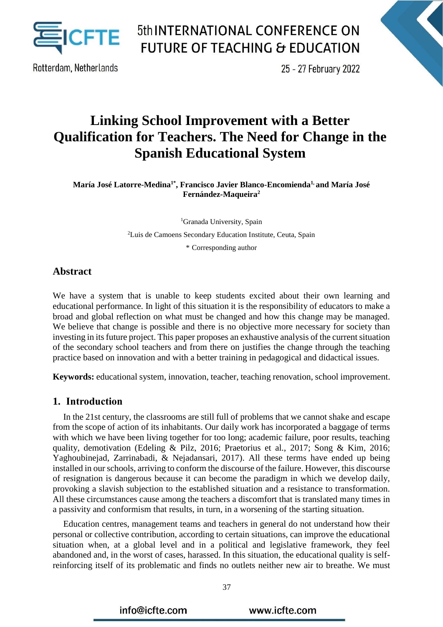

Rotterdam, Netherlands

25 - 27 February 2022

### **Linking School Improvement with a Better Qualification for Teachers. The Need for Change in the Spanish Educational System**

**María José Latorre-Medina1\* , Francisco Javier Blanco-Encomienda1, and María José Fernández-Maqueira<sup>2</sup>**

> <sup>1</sup>Granada University, Spain <sup>2</sup>Luis de Camoens Secondary Education Institute, Ceuta, Spain \* Corresponding author

#### **Abstract**

We have a system that is unable to keep students excited about their own learning and educational performance. In light of this situation it is the responsibility of educators to make a broad and global reflection on what must be changed and how this change may be managed. We believe that change is possible and there is no objective more necessary for society than investing in its future project. This paper proposes an exhaustive analysis of the current situation of the secondary school teachers and from there on justifies the change through the teaching practice based on innovation and with a better training in pedagogical and didactical issues.

**Keywords:** educational system, innovation, teacher, teaching renovation, school improvement.

#### **1. Introduction**

In the 21st century, the classrooms are still full of problems that we cannot shake and escape from the scope of action of its inhabitants. Our daily work has incorporated a baggage of terms with which we have been living together for too long; academic failure, poor results, teaching quality, demotivation (Edeling & Pilz, 2016; Praetorius et al., 2017; Song & Kim, 2016; Yaghoubinejad, Zarrinabadi, & Nejadansari, 2017). All these terms have ended up being installed in our schools, arriving to conform the discourse of the failure. However, this discourse of resignation is dangerous because it can become the paradigm in which we develop daily, provoking a slavish subjection to the established situation and a resistance to transformation. All these circumstances cause among the teachers a discomfort that is translated many times in a passivity and conformism that results, in turn, in a worsening of the starting situation.

Education centres, management teams and teachers in general do not understand how their personal or collective contribution, according to certain situations, can improve the educational situation when, at a global level and in a political and legislative framework, they feel abandoned and, in the worst of cases, harassed. In this situation, the educational quality is selfreinforcing itself of its problematic and finds no outlets neither new air to breathe. We must

info@icfte.com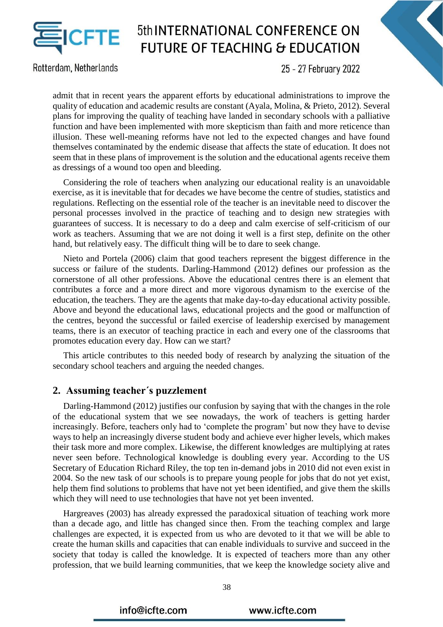

Rotterdam, Netherlands

25 - 27 February 2022

admit that in recent years the apparent efforts by educational administrations to improve the quality of education and academic results are constant (Ayala, Molina, & Prieto, 2012). Several plans for improving the quality of teaching have landed in secondary schools with a palliative function and have been implemented with more skepticism than faith and more reticence than illusion. These well-meaning reforms have not led to the expected changes and have found themselves contaminated by the endemic disease that affects the state of education. It does not seem that in these plans of improvement is the solution and the educational agents receive them as dressings of a wound too open and bleeding.

Considering the role of teachers when analyzing our educational reality is an unavoidable exercise, as it is inevitable that for decades we have become the centre of studies, statistics and regulations. Reflecting on the essential role of the teacher is an inevitable need to discover the personal processes involved in the practice of teaching and to design new strategies with guarantees of success. It is necessary to do a deep and calm exercise of self-criticism of our work as teachers. Assuming that we are not doing it well is a first step, definite on the other hand, but relatively easy. The difficult thing will be to dare to seek change.

Nieto and Portela (2006) claim that good teachers represent the biggest difference in the success or failure of the students. Darling-Hammond (2012) defines our profession as the cornerstone of all other professions. Above the educational centres there is an element that contributes a force and a more direct and more vigorous dynamism to the exercise of the education, the teachers. They are the agents that make day-to-day educational activity possible. Above and beyond the educational laws, educational projects and the good or malfunction of the centres, beyond the successful or failed exercise of leadership exercised by management teams, there is an executor of teaching practice in each and every one of the classrooms that promotes education every day. How can we start?

This article contributes to this needed body of research by analyzing the situation of the secondary school teachers and arguing the needed changes.

#### **2. Assuming teacher´s puzzlement**

Darling-Hammond (2012) justifies our confusion by saying that with the changes in the role of the educational system that we see nowadays, the work of teachers is getting harder increasingly. Before, teachers only had to 'complete the program' but now they have to devise ways to help an increasingly diverse student body and achieve ever higher levels, which makes their task more and more complex. Likewise, the different knowledges are multiplying at rates never seen before. Technological knowledge is doubling every year. According to the US Secretary of Education Richard Riley, the top ten in-demand jobs in 2010 did not even exist in 2004. So the new task of our schools is to prepare young people for jobs that do not yet exist, help them find solutions to problems that have not yet been identified, and give them the skills which they will need to use technologies that have not yet been invented.

Hargreaves (2003) has already expressed the paradoxical situation of teaching work more than a decade ago, and little has changed since then. From the teaching complex and large challenges are expected, it is expected from us who are devoted to it that we will be able to create the human skills and capacities that can enable individuals to survive and succeed in the society that today is called the knowledge. It is expected of teachers more than any other profession, that we build learning communities, that we keep the knowledge society alive and

info@icfte.com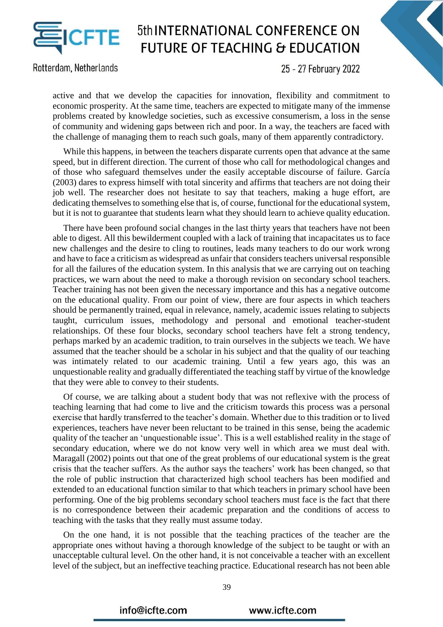

Rotterdam, Netherlands

25 - 27 February 2022

active and that we develop the capacities for innovation, flexibility and commitment to economic prosperity. At the same time, teachers are expected to mitigate many of the immense problems created by knowledge societies, such as excessive consumerism, a loss in the sense of community and widening gaps between rich and poor. In a way, the teachers are faced with the challenge of managing them to reach such goals, many of them apparently contradictory.

While this happens, in between the teachers disparate currents open that advance at the same speed, but in different direction. The current of those who call for methodological changes and of those who safeguard themselves under the easily acceptable discourse of failure. García (2003) dares to express himself with total sincerity and affirms that teachers are not doing their job well. The researcher does not hesitate to say that teachers, making a huge effort, are dedicating themselves to something else that is, of course, functional for the educational system, but it is not to guarantee that students learn what they should learn to achieve quality education.

There have been profound social changes in the last thirty years that teachers have not been able to digest. All this bewilderment coupled with a lack of training that incapacitates us to face new challenges and the desire to cling to routines, leads many teachers to do our work wrong and have to face a criticism as widespread as unfair that considers teachers universal responsible for all the failures of the education system. In this analysis that we are carrying out on teaching practices, we warn about the need to make a thorough revision on secondary school teachers. Teacher training has not been given the necessary importance and this has a negative outcome on the educational quality. From our point of view, there are four aspects in which teachers should be permanently trained, equal in relevance, namely, academic issues relating to subjects taught, curriculum issues, methodology and personal and emotional teacher-student relationships. Of these four blocks, secondary school teachers have felt a strong tendency, perhaps marked by an academic tradition, to train ourselves in the subjects we teach. We have assumed that the teacher should be a scholar in his subject and that the quality of our teaching was intimately related to our academic training. Until a few years ago, this was an unquestionable reality and gradually differentiated the teaching staff by virtue of the knowledge that they were able to convey to their students.

Of course, we are talking about a student body that was not reflexive with the process of teaching learning that had come to live and the criticism towards this process was a personal exercise that hardly transferred to the teacher's domain. Whether due to this tradition or to lived experiences, teachers have never been reluctant to be trained in this sense, being the academic quality of the teacher an 'unquestionable issue'. This is a well established reality in the stage of secondary education, where we do not know very well in which area we must deal with. Maragall (2002) points out that one of the great problems of our educational system is the great crisis that the teacher suffers. As the author says the teachers' work has been changed, so that the role of public instruction that characterized high school teachers has been modified and extended to an educational function similar to that which teachers in primary school have been performing. One of the big problems secondary school teachers must face is the fact that there is no correspondence between their academic preparation and the conditions of access to teaching with the tasks that they really must assume today.

On the one hand, it is not possible that the teaching practices of the teacher are the appropriate ones without having a thorough knowledge of the subject to be taught or with an unacceptable cultural level. On the other hand, it is not conceivable a teacher with an excellent level of the subject, but an ineffective teaching practice. Educational research has not been able

39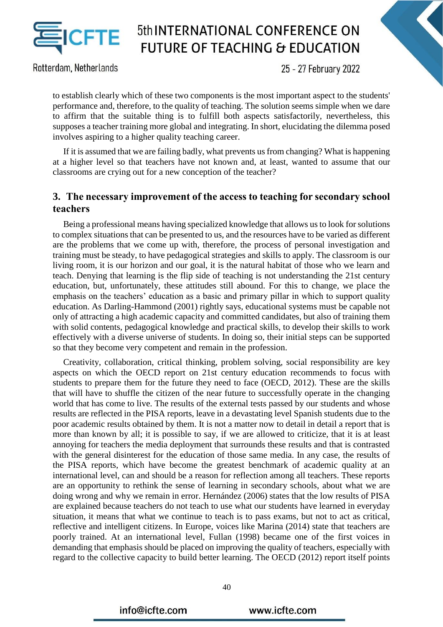

Rotterdam, Netherlands

25 - 27 February 2022

to establish clearly which of these two components is the most important aspect to the students' performance and, therefore, to the quality of teaching. The solution seems simple when we dare to affirm that the suitable thing is to fulfill both aspects satisfactorily, nevertheless, this supposes a teacher training more global and integrating. In short, elucidating the dilemma posed involves aspiring to a higher quality teaching career.

If it is assumed that we are failing badly, what prevents us from changing? What is happening at a higher level so that teachers have not known and, at least, wanted to assume that our classrooms are crying out for a new conception of the teacher?

#### **3. The necessary improvement of the access to teaching for secondary school teachers**

Being a professional means having specialized knowledge that allows us to look for solutions to complex situations that can be presented to us, and the resources have to be varied as different are the problems that we come up with, therefore, the process of personal investigation and training must be steady, to have pedagogical strategies and skills to apply. The classroom is our living room, it is our horizon and our goal, it is the natural habitat of those who we learn and teach. Denying that learning is the flip side of teaching is not understanding the 21st century education, but, unfortunately, these attitudes still abound. For this to change, we place the emphasis on the teachers' education as a basic and primary pillar in which to support quality education. As Darling-Hammond (2001) rightly says, educational systems must be capable not only of attracting a high academic capacity and committed candidates, but also of training them with solid contents, pedagogical knowledge and practical skills, to develop their skills to work effectively with a diverse universe of students. In doing so, their initial steps can be supported so that they become very competent and remain in the profession.

Creativity, collaboration, critical thinking, problem solving, social responsibility are key aspects on which the OECD report on 21st century education recommends to focus with students to prepare them for the future they need to face (OECD, 2012). These are the skills that will have to shuffle the citizen of the near future to successfully operate in the changing world that has come to live. The results of the external tests passed by our students and whose results are reflected in the PISA reports, leave in a devastating level Spanish students due to the poor academic results obtained by them. It is not a matter now to detail in detail a report that is more than known by all; it is possible to say, if we are allowed to criticize, that it is at least annoying for teachers the media deployment that surrounds these results and that is contrasted with the general disinterest for the education of those same media. In any case, the results of the PISA reports, which have become the greatest benchmark of academic quality at an international level, can and should be a reason for reflection among all teachers. These reports are an opportunity to rethink the sense of learning in secondary schools, about what we are doing wrong and why we remain in error. Hernández (2006) states that the low results of PISA are explained because teachers do not teach to use what our students have learned in everyday situation, it means that what we continue to teach is to pass exams, but not to act as critical, reflective and intelligent citizens. In Europe, voices like Marina (2014) state that teachers are poorly trained. At an international level, Fullan (1998) became one of the first voices in demanding that emphasis should be placed on improving the quality of teachers, especially with regard to the collective capacity to build better learning. The OECD (2012) report itself points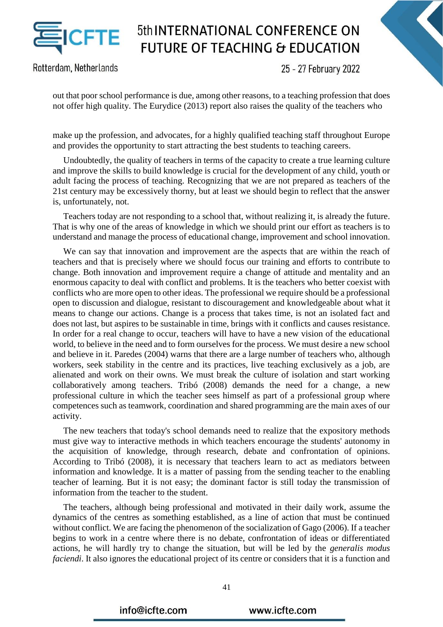

Rotterdam, Netherlands

25 - 27 February 2022

out that poor school performance is due, among other reasons, to a teaching profession that does not offer high quality. The Eurydice (2013) report also raises the quality of the teachers who

make up the profession, and advocates, for a highly qualified teaching staff throughout Europe and provides the opportunity to start attracting the best students to teaching careers.

Undoubtedly, the quality of teachers in terms of the capacity to create a true learning culture and improve the skills to build knowledge is crucial for the development of any child, youth or adult facing the process of teaching. Recognizing that we are not prepared as teachers of the 21st century may be excessively thorny, but at least we should begin to reflect that the answer is, unfortunately, not.

Teachers today are not responding to a school that, without realizing it, is already the future. That is why one of the areas of knowledge in which we should print our effort as teachers is to understand and manage the process of educational change, improvement and school innovation.

We can say that innovation and improvement are the aspects that are within the reach of teachers and that is precisely where we should focus our training and efforts to contribute to change. Both innovation and improvement require a change of attitude and mentality and an enormous capacity to deal with conflict and problems. It is the teachers who better coexist with conflicts who are more open to other ideas. The professional we require should be a professional open to discussion and dialogue, resistant to discouragement and knowledgeable about what it means to change our actions. Change is a process that takes time, is not an isolated fact and does not last, but aspires to be sustainable in time, brings with it conflicts and causes resistance. In order for a real change to occur, teachers will have to have a new vision of the educational world, to believe in the need and to form ourselves for the process. We must desire a new school and believe in it. Paredes (2004) warns that there are a large number of teachers who, although workers, seek stability in the centre and its practices, live teaching exclusively as a job, are alienated and work on their owns. We must break the culture of isolation and start working collaboratively among teachers. Tribó (2008) demands the need for a change, a new professional culture in which the teacher sees himself as part of a professional group where competences such as teamwork, coordination and shared programming are the main axes of our activity.

The new teachers that today's school demands need to realize that the expository methods must give way to interactive methods in which teachers encourage the students' autonomy in the acquisition of knowledge, through research, debate and confrontation of opinions. According to Tribó (2008), it is necessary that teachers learn to act as mediators between information and knowledge. It is a matter of passing from the sending teacher to the enabling teacher of learning. But it is not easy; the dominant factor is still today the transmission of information from the teacher to the student.

The teachers, although being professional and motivated in their daily work, assume the dynamics of the centres as something established, as a line of action that must be continued without conflict. We are facing the phenomenon of the socialization of Gago (2006). If a teacher begins to work in a centre where there is no debate, confrontation of ideas or differentiated actions, he will hardly try to change the situation, but will be led by the *generalis modus faciendi*. It also ignores the educational project of its centre or considers that it is a function and

info@icfte.com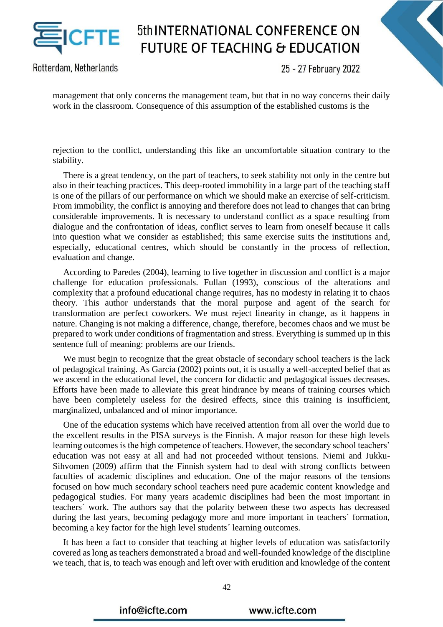

Rotterdam, Netherlands

25 - 27 February 2022

management that only concerns the management team, but that in no way concerns their daily work in the classroom. Consequence of this assumption of the established customs is the

rejection to the conflict, understanding this like an uncomfortable situation contrary to the stability.

There is a great tendency, on the part of teachers, to seek stability not only in the centre but also in their teaching practices. This deep-rooted immobility in a large part of the teaching staff is one of the pillars of our performance on which we should make an exercise of self-criticism. From immobility, the conflict is annoying and therefore does not lead to changes that can bring considerable improvements. It is necessary to understand conflict as a space resulting from dialogue and the confrontation of ideas, conflict serves to learn from oneself because it calls into question what we consider as established; this same exercise suits the institutions and, especially, educational centres, which should be constantly in the process of reflection, evaluation and change.

According to Paredes (2004), learning to live together in discussion and conflict is a major challenge for education professionals. Fullan (1993), conscious of the alterations and complexity that a profound educational change requires, has no modesty in relating it to chaos theory. This author understands that the moral purpose and agent of the search for transformation are perfect coworkers. We must reject linearity in change, as it happens in nature. Changing is not making a difference, change, therefore, becomes chaos and we must be prepared to work under conditions of fragmentation and stress. Everything is summed up in this sentence full of meaning: problems are our friends.

We must begin to recognize that the great obstacle of secondary school teachers is the lack of pedagogical training. As García (2002) points out, it is usually a well-accepted belief that as we ascend in the educational level, the concern for didactic and pedagogical issues decreases. Efforts have been made to alleviate this great hindrance by means of training courses which have been completely useless for the desired effects, since this training is insufficient, marginalized, unbalanced and of minor importance.

One of the education systems which have received attention from all over the world due to the excellent results in the PISA surveys is the Finnish. A major reason for these high levels learning outcomes is the high competence of teachers. However, the secondary school teachers' education was not easy at all and had not proceeded without tensions. Niemi and Jukku-Sihvomen (2009) affirm that the Finnish system had to deal with strong conflicts between faculties of academic disciplines and education. One of the major reasons of the tensions focused on how much secondary school teachers need pure academic content knowledge and pedagogical studies. For many years academic disciplines had been the most important in teachers´ work. The authors say that the polarity between these two aspects has decreased during the last years, becoming pedagogy more and more important in teachers´ formation, becoming a key factor for the high level students´ learning outcomes.

It has been a fact to consider that teaching at higher levels of education was satisfactorily covered as long as teachers demonstrated a broad and well-founded knowledge of the discipline we teach, that is, to teach was enough and left over with erudition and knowledge of the content

42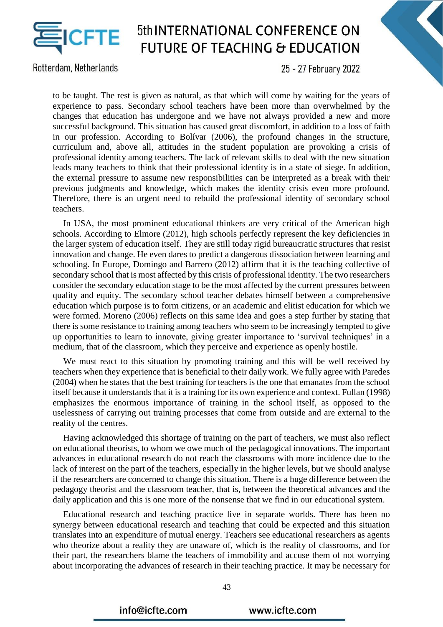

Rotterdam, Netherlands

25 - 27 February 2022

to be taught. The rest is given as natural, as that which will come by waiting for the years of experience to pass. Secondary school teachers have been more than overwhelmed by the changes that education has undergone and we have not always provided a new and more successful background. This situation has caused great discomfort, in addition to a loss of faith in our profession. According to Bolívar (2006), the profound changes in the structure, curriculum and, above all, attitudes in the student population are provoking a crisis of professional identity among teachers. The lack of relevant skills to deal with the new situation leads many teachers to think that their professional identity is in a state of siege. In addition, the external pressure to assume new responsibilities can be interpreted as a break with their previous judgments and knowledge, which makes the identity crisis even more profound. Therefore, there is an urgent need to rebuild the professional identity of secondary school teachers.

In USA, the most prominent educational thinkers are very critical of the American high schools. According to Elmore (2012), high schools perfectly represent the key deficiencies in the larger system of education itself. They are still today rigid bureaucratic structures that resist innovation and change. He even dares to predict a dangerous dissociation between learning and schooling. In Europe, Domingo and Barrero (2012) affirm that it is the teaching collective of secondary school that is most affected by this crisis of professional identity. The two researchers consider the secondary education stage to be the most affected by the current pressures between quality and equity. The secondary school teacher debates himself between a comprehensive education which purpose is to form citizens, or an academic and elitist education for which we were formed. Moreno (2006) reflects on this same idea and goes a step further by stating that there is some resistance to training among teachers who seem to be increasingly tempted to give up opportunities to learn to innovate, giving greater importance to 'survival techniques' in a medium, that of the classroom, which they perceive and experience as openly hostile.

We must react to this situation by promoting training and this will be well received by teachers when they experience that is beneficial to their daily work. We fully agree with Paredes (2004) when he states that the best training for teachers is the one that emanates from the school itself because it understands that it is a training for its own experience and context. Fullan (1998) emphasizes the enormous importance of training in the school itself, as opposed to the uselessness of carrying out training processes that come from outside and are external to the reality of the centres.

Having acknowledged this shortage of training on the part of teachers, we must also reflect on educational theorists, to whom we owe much of the pedagogical innovations. The important advances in educational research do not reach the classrooms with more incidence due to the lack of interest on the part of the teachers, especially in the higher levels, but we should analyse if the researchers are concerned to change this situation. There is a huge difference between the pedagogy theorist and the classroom teacher, that is, between the theoretical advances and the daily application and this is one more of the nonsense that we find in our educational system.

Educational research and teaching practice live in separate worlds. There has been no synergy between educational research and teaching that could be expected and this situation translates into an expenditure of mutual energy. Teachers see educational researchers as agents who theorize about a reality they are unaware of, which is the reality of classrooms, and for their part, the researchers blame the teachers of immobility and accuse them of not worrying about incorporating the advances of research in their teaching practice. It may be necessary for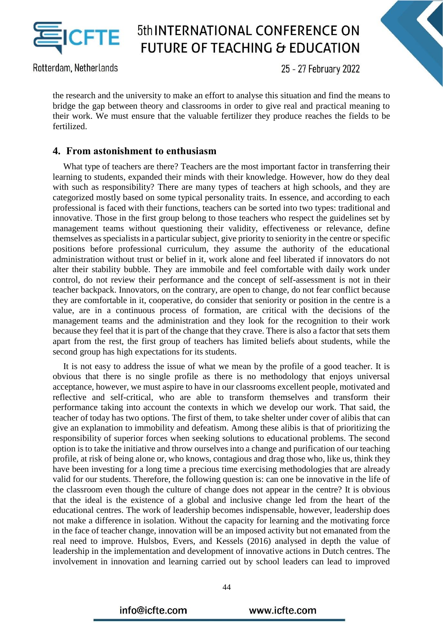

Rotterdam, Netherlands

25 - 27 February 2022

the research and the university to make an effort to analyse this situation and find the means to bridge the gap between theory and classrooms in order to give real and practical meaning to their work. We must ensure that the valuable fertilizer they produce reaches the fields to be fertilized.

#### **4. From astonishment to enthusiasm**

What type of teachers are there? Teachers are the most important factor in transferring their learning to students, expanded their minds with their knowledge. However, how do they deal with such as responsibility? There are many types of teachers at high schools, and they are categorized mostly based on some typical personality traits. In essence, and according to each professional is faced with their functions, teachers can be sorted into two types: traditional and innovative. Those in the first group belong to those teachers who respect the guidelines set by management teams without questioning their validity, effectiveness or relevance, define themselves as specialists in a particular subject, give priority to seniority in the centre or specific positions before professional curriculum, they assume the authority of the educational administration without trust or belief in it, work alone and feel liberated if innovators do not alter their stability bubble. They are immobile and feel comfortable with daily work under control, do not review their performance and the concept of self-assessment is not in their teacher backpack. Innovators, on the contrary, are open to change, do not fear conflict because they are comfortable in it, cooperative, do consider that seniority or position in the centre is a value, are in a continuous process of formation, are critical with the decisions of the management teams and the administration and they look for the recognition to their work because they feel that it is part of the change that they crave. There is also a factor that sets them apart from the rest, the first group of teachers has limited beliefs about students, while the second group has high expectations for its students.

It is not easy to address the issue of what we mean by the profile of a good teacher. It is obvious that there is no single profile as there is no methodology that enjoys universal acceptance, however, we must aspire to have in our classrooms excellent people, motivated and reflective and self-critical, who are able to transform themselves and transform their performance taking into account the contexts in which we develop our work. That said, the teacher of today has two options. The first of them, to take shelter under cover of alibis that can give an explanation to immobility and defeatism. Among these alibis is that of prioritizing the responsibility of superior forces when seeking solutions to educational problems. The second option is to take the initiative and throw ourselves into a change and purification of our teaching profile, at risk of being alone or, who knows, contagious and drag those who, like us, think they have been investing for a long time a precious time exercising methodologies that are already valid for our students. Therefore, the following question is: can one be innovative in the life of the classroom even though the culture of change does not appear in the centre? It is obvious that the ideal is the existence of a global and inclusive change led from the heart of the educational centres. The work of leadership becomes indispensable, however, leadership does not make a difference in isolation. Without the capacity for learning and the motivating force in the face of teacher change, innovation will be an imposed activity but not emanated from the real need to improve. Hulsbos, Evers, and Kessels (2016) analysed in depth the value of leadership in the implementation and development of innovative actions in Dutch centres. The involvement in innovation and learning carried out by school leaders can lead to improved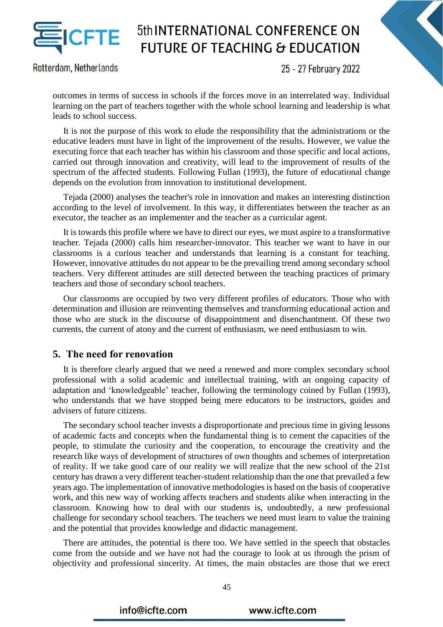

Rotterdam, Netherlands

25 - 27 February 2022

outcomes in terms of success in schools if the forces move in an interrelated way. Individual learning on the part of teachers together with the whole school learning and leadership is what leads to school success.

It is not the purpose of this work to elude the responsibility that the administrations or the educative leaders must have in light of the improvement of the results. However, we value the executing force that each teacher has within his classroom and those specific and local actions, carried out through innovation and creativity, will lead to the improvement of results of the spectrum of the affected students. Following Fullan (1993), the future of educational change depends on the evolution from innovation to institutional development.

Tejada (2000) analyses the teacher's role in innovation and makes an interesting distinction according to the level of involvement. In this way, it differentiates between the teacher as an executor, the teacher as an implementer and the teacher as a curricular agent.

It is towards this profile where we have to direct our eyes, we must aspire to a transformative teacher. Tejada (2000) calls him researcher-innovator. This teacher we want to have in our classrooms is a curious teacher and understands that learning is a constant for teaching. However, innovative attitudes do not appear to be the prevailing trend among secondary school teachers. Very different attitudes are still detected between the teaching practices of primary teachers and those of secondary school teachers.

Our classrooms are occupied by two very different profiles of educators. Those who with determination and illusion are reinventing themselves and transforming educational action and those who are stuck in the discourse of disappointment and disenchantment. Of these two currents, the current of atony and the current of enthusiasm, we need enthusiasm to win.

#### **5. The need for renovation**

It is therefore clearly argued that we need a renewed and more complex secondary school professional with a solid academic and intellectual training, with an ongoing capacity of adaptation and 'knowledgeable' teacher, following the terminology coined by Fullan (1993), who understands that we have stopped being mere educators to be instructors, guides and advisers of future citizens.

The secondary school teacher invests a disproportionate and precious time in giving lessons of academic facts and concepts when the fundamental thing is to cement the capacities of the people, to stimulate the curiosity and the cooperation, to encourage the creativity and the research like ways of development of structures of own thoughts and schemes of interpretation of reality. If we take good care of our reality we will realize that the new school of the 21st century has drawn a very different teacher-student relationship than the one that prevailed a few years ago. The implementation of innovative methodologies is based on the basis of cooperative work, and this new way of working affects teachers and students alike when interacting in the classroom. Knowing how to deal with our students is, undoubtedly, a new professional challenge for secondary school teachers. The teachers we need must learn to value the training and the potential that provides knowledge and didactic management.

There are attitudes, the potential is there too. We have settled in the speech that obstacles come from the outside and we have not had the courage to look at us through the prism of objectivity and professional sincerity. At times, the main obstacles are those that we erect

45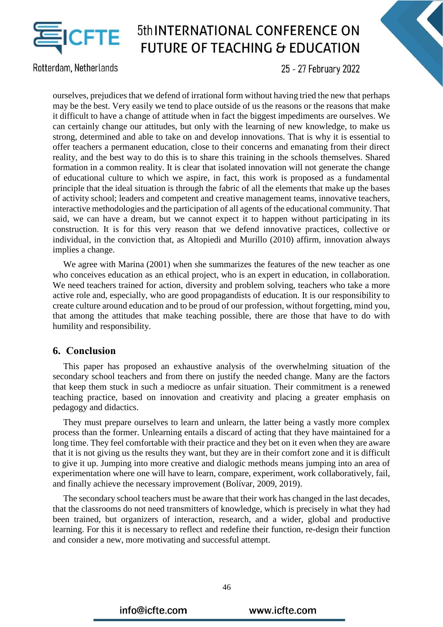

Rotterdam, Netherlands

25 - 27 February 2022

ourselves, prejudices that we defend of irrational form without having tried the new that perhaps may be the best. Very easily we tend to place outside of us the reasons or the reasons that make it difficult to have a change of attitude when in fact the biggest impediments are ourselves. We can certainly change our attitudes, but only with the learning of new knowledge, to make us strong, determined and able to take on and develop innovations. That is why it is essential to offer teachers a permanent education, close to their concerns and emanating from their direct reality, and the best way to do this is to share this training in the schools themselves. Shared formation in a common reality. It is clear that isolated innovation will not generate the change of educational culture to which we aspire, in fact, this work is proposed as a fundamental principle that the ideal situation is through the fabric of all the elements that make up the bases of activity school; leaders and competent and creative management teams, innovative teachers, interactive methodologies and the participation of all agents of the educational community. That said, we can have a dream, but we cannot expect it to happen without participating in its construction. It is for this very reason that we defend innovative practices, collective or individual, in the conviction that, as Altopiedi and Murillo (2010) affirm, innovation always implies a change.

We agree with Marina (2001) when she summarizes the features of the new teacher as one who conceives education as an ethical project, who is an expert in education, in collaboration. We need teachers trained for action, diversity and problem solving, teachers who take a more active role and, especially, who are good propagandists of education. It is our responsibility to create culture around education and to be proud of our profession, without forgetting, mind you, that among the attitudes that make teaching possible, there are those that have to do with humility and responsibility.

#### **6. Conclusion**

This paper has proposed an exhaustive analysis of the overwhelming situation of the secondary school teachers and from there on justify the needed change. Many are the factors that keep them stuck in such a mediocre as unfair situation. Their commitment is a renewed teaching practice, based on innovation and creativity and placing a greater emphasis on pedagogy and didactics.

They must prepare ourselves to learn and unlearn, the latter being a vastly more complex process than the former. Unlearning entails a discard of acting that they have maintained for a long time. They feel comfortable with their practice and they bet on it even when they are aware that it is not giving us the results they want, but they are in their comfort zone and it is difficult to give it up. Jumping into more creative and dialogic methods means jumping into an area of experimentation where one will have to learn, compare, experiment, work collaboratively, fail, and finally achieve the necessary improvement (Bolívar, 2009, 2019).

The secondary school teachers must be aware that their work has changed in the last decades, that the classrooms do not need transmitters of knowledge, which is precisely in what they had been trained, but organizers of interaction, research, and a wider, global and productive learning. For this it is necessary to reflect and redefine their function, re-design their function and consider a new, more motivating and successful attempt.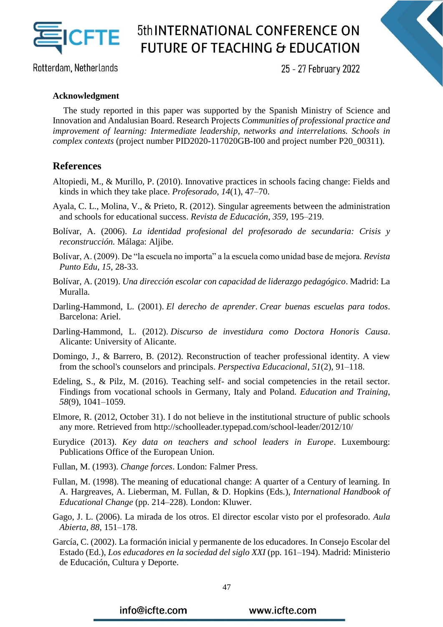

Rotterdam, Netherlands

25 - 27 February 2022

#### **Acknowledgment**

The study reported in this paper was supported by the Spanish Ministry of Science and Innovation and Andalusian Board. Research Projects *Communities of professional practice and improvement of learning: Intermediate leadership, networks and interrelations. Schools in complex contexts* (project number PID2020-117020GB-I00 and project number P20\_00311).

#### **References**

- Altopiedi, M., & Murillo, P. (2010). Innovative practices in schools facing change: Fields and kinds in which they take place. *Profesorado*, *14*(1), 47–70.
- Ayala, C. L., Molina, V., & Prieto, R. (2012). Singular agreements between the administration and schools for educational success. *Revista de Educación*, *359*, 195–219.
- Bolívar, A. (2006). *La identidad profesional del profesorado de secundaria: Crisis y reconstrucción.* Málaga: Aljibe.
- Bolívar, A. (2009). De "la escuela no importa" a la escuela como unidad base de mejora. *Revista Punto Edu, 15*, 28-33.
- Bolívar, A. (2019). *Una dirección escolar con capacidad de liderazgo pedagógico*. Madrid: La Muralla.
- Darling-Hammond, L. (2001). *El derecho de aprender*. *Crear buenas escuelas para todos*. Barcelona: Ariel.
- Darling-Hammond, L. (2012). *Discurso de investidura como Doctora Honoris Causa*. Alicante: University of Alicante.
- Domingo, J., & Barrero, B. (2012). Reconstruction of teacher professional identity. A view from the school's counselors and principals. *Perspectiva Educacional*, *51*(2), 91–118.
- Edeling, S., & Pilz, M. (2016). Teaching self- and social competencies in the retail sector. Findings from vocational schools in Germany, Italy and Poland. *Education and Training*, *58*(9), 1041–1059.
- Elmore, R. (2012, October 31). I do not believe in the institutional structure of public schools any more. Retrieved from http://schoolleader.typepad.com/school-leader/2012/10/
- Eurydice (2013). *Key data on teachers and school leaders in Europe*. Luxembourg: Publications Office of the European Union.
- Fullan, M. (1993). *Change forces*. London: Falmer Press.
- Fullan, M. (1998). The meaning of educational change: A quarter of a Century of learning. In A. Hargreaves, A. Lieberman, M. Fullan, & D. Hopkins (Eds*.*), *International Handbook of Educational Change* (pp. 214–228). London: Kluwer.
- Gago, J. L. (2006). La mirada de los otros. El director escolar visto por el profesorado*. Aula Abierta*, *88*, 151–178.
- García, C. (2002). La formación inicial y permanente de los educadores. In Consejo Escolar del Estado (Ed.), *Los educadores en la sociedad del siglo XXI* (pp. 161–194). Madrid: Ministerio de Educación, Cultura y Deporte.

info@icfte.com